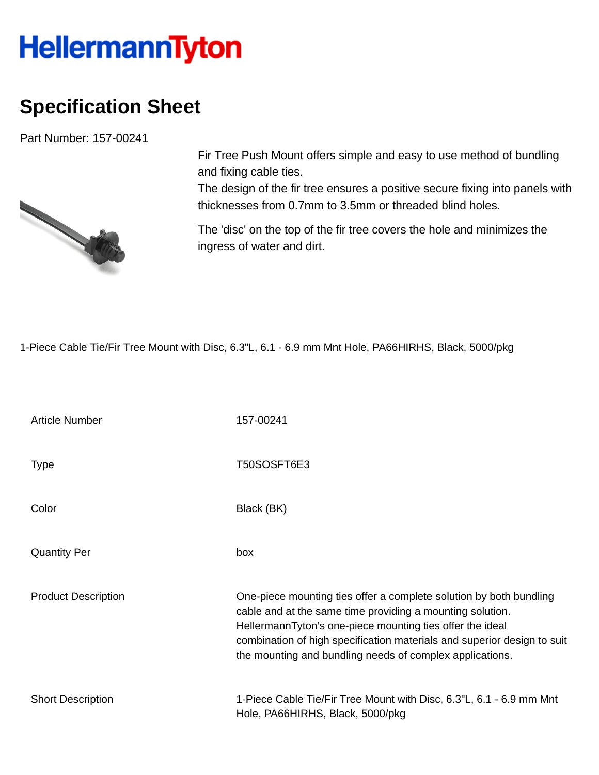## **HellermannTyton**

## **Specification Sheet**

Part Number: 157-00241



Fir Tree Push Mount offers simple and easy to use method of bundling and fixing cable ties.

The design of the fir tree ensures a positive secure fixing into panels with thicknesses from 0.7mm to 3.5mm or threaded blind holes.

The 'disc' on the top of the fir tree covers the hole and minimizes the ingress of water and dirt.

1-Piece Cable Tie/Fir Tree Mount with Disc, 6.3"L, 6.1 - 6.9 mm Mnt Hole, PA66HIRHS, Black, 5000/pkg

| <b>Article Number</b>      | 157-00241                                                                                                                                                                                                                                                                                                                           |
|----------------------------|-------------------------------------------------------------------------------------------------------------------------------------------------------------------------------------------------------------------------------------------------------------------------------------------------------------------------------------|
| <b>Type</b>                | T50SOSFT6E3                                                                                                                                                                                                                                                                                                                         |
| Color                      | Black (BK)                                                                                                                                                                                                                                                                                                                          |
| <b>Quantity Per</b>        | box                                                                                                                                                                                                                                                                                                                                 |
| <b>Product Description</b> | One-piece mounting ties offer a complete solution by both bundling<br>cable and at the same time providing a mounting solution.<br>HellermannTyton's one-piece mounting ties offer the ideal<br>combination of high specification materials and superior design to suit<br>the mounting and bundling needs of complex applications. |
| <b>Short Description</b>   | 1-Piece Cable Tie/Fir Tree Mount with Disc, 6.3"L, 6.1 - 6.9 mm Mnt<br>Hole, PA66HIRHS, Black, 5000/pkg                                                                                                                                                                                                                             |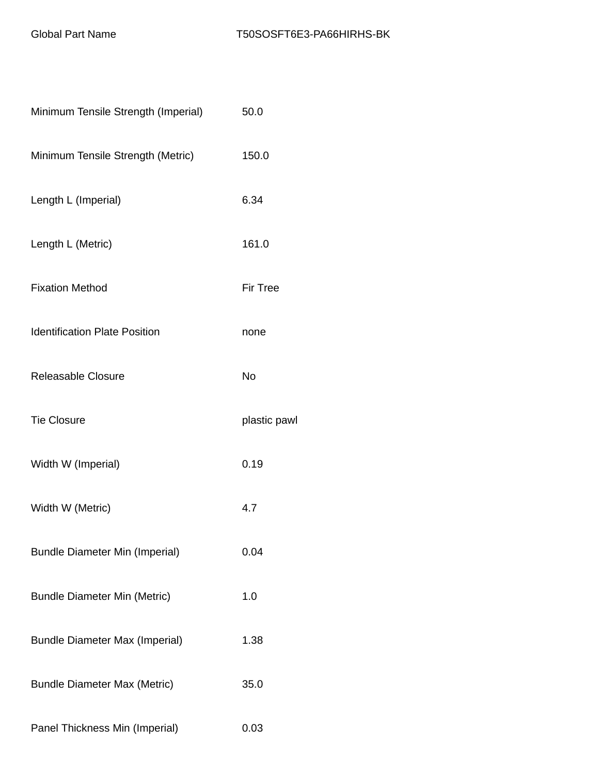| Minimum Tensile Strength (Imperial)   | 50.0            |
|---------------------------------------|-----------------|
| Minimum Tensile Strength (Metric)     | 150.0           |
| Length L (Imperial)                   | 6.34            |
| Length L (Metric)                     | 161.0           |
| <b>Fixation Method</b>                | <b>Fir Tree</b> |
| <b>Identification Plate Position</b>  | none            |
| <b>Releasable Closure</b>             | <b>No</b>       |
| <b>Tie Closure</b>                    | plastic pawl    |
| Width W (Imperial)                    | 0.19            |
| Width W (Metric)                      | 4.7             |
| <b>Bundle Diameter Min (Imperial)</b> | 0.04            |
| <b>Bundle Diameter Min (Metric)</b>   | 1.0             |
| <b>Bundle Diameter Max (Imperial)</b> | 1.38            |
| <b>Bundle Diameter Max (Metric)</b>   | 35.0            |
| Panel Thickness Min (Imperial)        | 0.03            |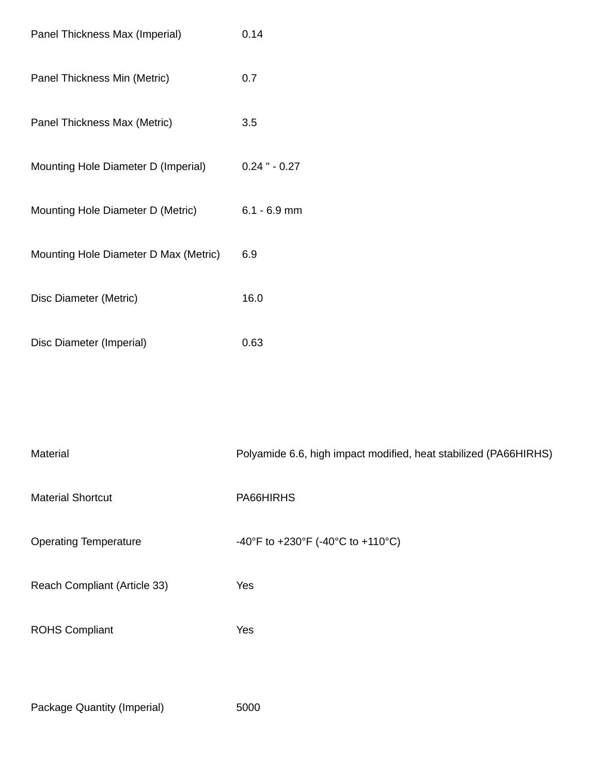| Panel Thickness Max (Imperial)        | 0.14              |
|---------------------------------------|-------------------|
| Panel Thickness Min (Metric)          | 0.7               |
| Panel Thickness Max (Metric)          | 3.5               |
| Mounting Hole Diameter D (Imperial)   | $0.24$ " - $0.27$ |
| Mounting Hole Diameter D (Metric)     | $6.1 - 6.9$ mm    |
| Mounting Hole Diameter D Max (Metric) | 6.9               |
| Disc Diameter (Metric)                | 16.0              |
| Disc Diameter (Imperial)              | 0.63              |

| Material                     | Polyamide 6.6, high impact modified, heat stabilized (PA66HIRHS) |
|------------------------------|------------------------------------------------------------------|
| <b>Material Shortcut</b>     | PA66HIRHS                                                        |
| <b>Operating Temperature</b> | -40°F to +230°F (-40°C to +110°C)                                |
| Reach Compliant (Article 33) | Yes                                                              |
| <b>ROHS Compliant</b>        | Yes                                                              |
|                              |                                                                  |

Package Quantity (Imperial) 5000